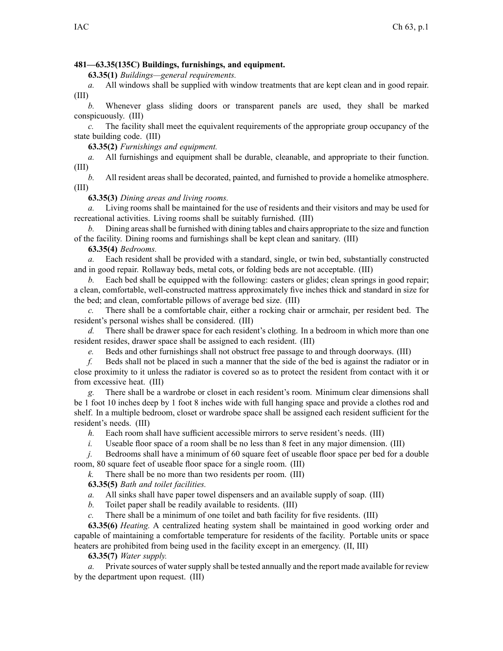## **481—63.35(135C) Buildings, furnishings, and equipment.**

**63.35(1)** *Buildings—general requirements.*

*a.* All windows shall be supplied with window treatments that are kept clean and in good repair. (III)

*b.* Whenever glass sliding doors or transparent panels are used, they shall be marked conspicuously. (III)

*c.* The facility shall meet the equivalent requirements of the appropriate group occupancy of the state building code. (III)

**63.35(2)** *Furnishings and equipment.*

*a.* All furnishings and equipment shall be durable, cleanable, and appropriate to their function. (III)

*b.* All resident areas shall be decorated, painted, and furnished to provide <sup>a</sup> homelike atmosphere. (III)

## **63.35(3)** *Dining areas and living rooms.*

*a.* Living rooms shall be maintained for the use of residents and their visitors and may be used for recreational activities. Living rooms shall be suitably furnished. (III)

*b.* Dining areas shall be furnished with dining tables and chairs appropriate to the size and function of the facility. Dining rooms and furnishings shall be kept clean and sanitary. (III)

## **63.35(4)** *Bedrooms.*

*a.* Each resident shall be provided with <sup>a</sup> standard, single, or twin bed, substantially constructed and in good repair. Rollaway beds, metal cots, or folding beds are not acceptable. (III)

*b.* Each bed shall be equipped with the following: casters or glides; clean springs in good repair; <sup>a</sup> clean, comfortable, well-constructed mattress approximately five inches thick and standard in size for the bed; and clean, comfortable pillows of average bed size. (III)

*c.* There shall be <sup>a</sup> comfortable chair, either <sup>a</sup> rocking chair or armchair, per resident bed. The resident's personal wishes shall be considered. (III)

*d.* There shall be drawer space for each resident's clothing. In <sup>a</sup> bedroom in which more than one resident resides, drawer space shall be assigned to each resident. (III)

*e.* Beds and other furnishings shall not obstruct free passage to and through doorways. (III)

*f.* Beds shall not be placed in such <sup>a</sup> manner that the side of the bed is against the radiator or in close proximity to it unless the radiator is covered so as to protect the resident from contact with it or from excessive heat. (III)

*g.* There shall be <sup>a</sup> wardrobe or closet in each resident's room. Minimum clear dimensions shall be 1 foot 10 inches deep by 1 foot 8 inches wide with full hanging space and provide <sup>a</sup> clothes rod and shelf. In <sup>a</sup> multiple bedroom, closet or wardrobe space shall be assigned each resident sufficient for the resident's needs. (III)

*h.* Each room shall have sufficient accessible mirrors to serve resident's needs. (III)

*i.* Useable floor space of a room shall be no less than 8 feet in any major dimension. (III)

*j.* Bedrooms shall have a minimum of 60 square feet of useable floor space per bed for a double room, 80 square feet of useable floor space for <sup>a</sup> single room. (III)

*k.* There shall be no more than two residents per room. (III)

**63.35(5)** *Bath and toilet facilities.*

*a.* All sinks shall have paper towel dispensers and an available supply of soap. (III)

*b.* Toilet paper shall be readily available to residents. (III)

*c.* There shall be <sup>a</sup> minimum of one toilet and bath facility for five residents. (III)

**63.35(6)** *Heating.* A centralized heating system shall be maintained in good working order and capable of maintaining <sup>a</sup> comfortable temperature for residents of the facility. Portable units or space heaters are prohibited from being used in the facility excep<sup>t</sup> in an emergency. (II, III)

## **63.35(7)** *Water supply.*

*a.* Private sources of water supply shall be tested annually and the report made available for review by the department upon request. (III)